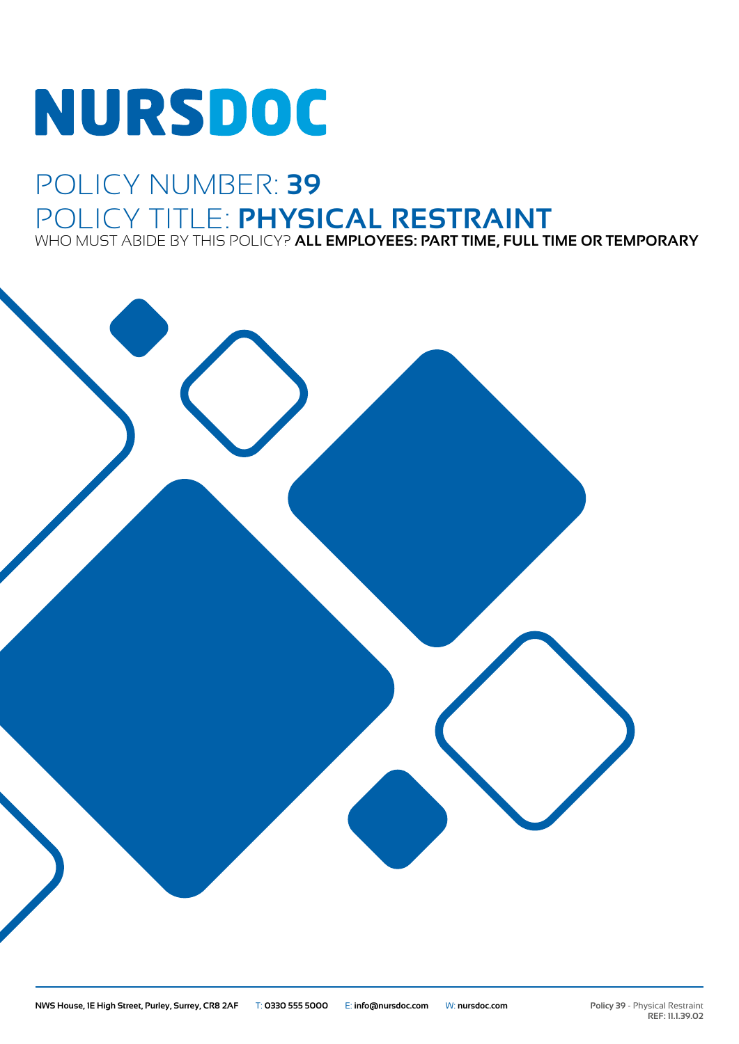# **NURSDOC**

## POLICY NUMBER: **39** POLICY TITLE: **PHYSICAL RESTRAINT** WHO MUST ABIDE BY THIS POLICY? **ALL EMPLOYEES: PART TIME, FULL TIME OR TEMPORARY**